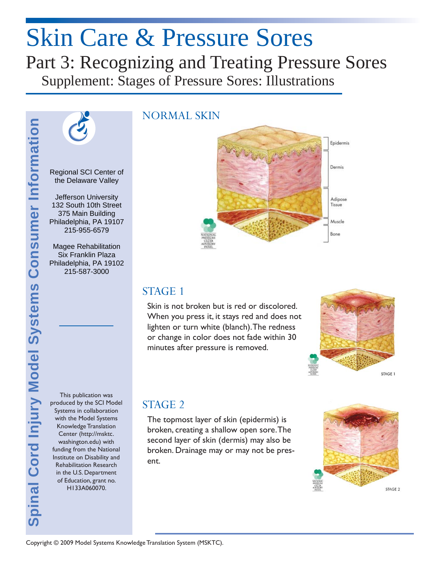# Skin Care & Pressure Sores Part 3: Recognizing and Treating Pressure Sores

Supplement: Stages of Pressure Sores: Illustrations



Regional SCI Center of the Delaware Valley

l, Philadelphia, PA 19107 Jefferson University 132 South 10th Street 375 Main Building 215-955-6579

Magee Rehabilitation Six Franklin Plaza Philadelphia, PA 19102 215-587-3000

This publication was produced by the SCI Model Systems in collaboration with the Model Systems Knowledge Translation Center (http://msktc. washington.edu) with funding from the National Institute on Disability and Rehabilitation Research in the U.S. Department of Education, grant no. H133A060070.

#### NORMAL SKIN



#### STAGE 1

Skin is not broken but is red or discolored. When you press it, it stays red and does not lighten or turn white (blanch). The redness or change in color does not fade within 30 minutes after pressure is removed.



## STAGE 2

The topmost layer of skin (epidermis) is broken, creating a shallow open sore. The second layer of skin (dermis) may also be broken. Drainage may or may not be present.